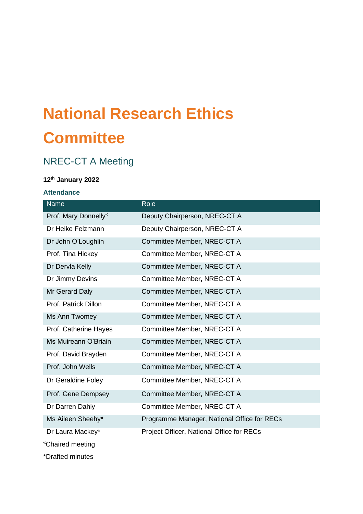# **National Research Ethics Committee**

# NREC-CT A Meeting

# **12th January 2022**

# **Attendance**

| Name                                           | Role                                        |
|------------------------------------------------|---------------------------------------------|
| Prof. Mary Donnelly <sup>&lt;</sup>            | Deputy Chairperson, NREC-CT A               |
| Dr Heike Felzmann                              | Deputy Chairperson, NREC-CT A               |
| Dr John O'Loughlin                             | Committee Member, NREC-CT A                 |
| Prof. Tina Hickey                              | Committee Member, NREC-CT A                 |
| Dr Dervla Kelly                                | Committee Member, NREC-CT A                 |
| Dr Jimmy Devins                                | Committee Member, NREC-CT A                 |
| Mr Gerard Daly                                 | Committee Member, NREC-CT A                 |
| Prof. Patrick Dillon                           | Committee Member, NREC-CT A                 |
| Ms Ann Twomey                                  | Committee Member, NREC-CT A                 |
| Prof. Catherine Hayes                          | Committee Member, NREC-CT A                 |
| Ms Muireann O'Briain                           | Committee Member, NREC-CT A                 |
| Prof. David Brayden                            | Committee Member, NREC-CT A                 |
| Prof. John Wells                               | Committee Member, NREC-CT A                 |
| Dr Geraldine Foley                             | Committee Member, NREC-CT A                 |
| Prof. Gene Dempsey                             | Committee Member, NREC-CT A                 |
| Dr Darren Dahly                                | Committee Member, NREC-CT A                 |
| Ms Aileen Sheehy*                              | Programme Manager, National Office for RECs |
| Dr Laura Mackey*                               | Project Officer, National Office for RECs   |
| <chaired meeting<="" td=""><td></td></chaired> |                                             |

\*Drafted minutes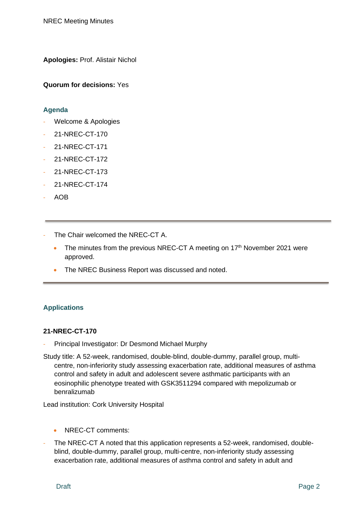**Apologies:** Prof. Alistair Nichol

**Quorum for decisions:** Yes

#### **Agenda**

- Welcome & Apologies
- 21-NREC-CT-170
- 21-NREC-CT-171
- 21-NREC-CT-172
- 21-NREC-CT-173
- 21-NREC-CT-174
- AOB
- The Chair welcomed the NREC-CT A.
	- The minutes from the previous NREC-CT A meeting on  $17<sup>th</sup>$  November 2021 were approved.
	- The NREC Business Report was discussed and noted.

#### **Applications**

#### **21-NREC-CT-170**

- Principal Investigator: Dr Desmond Michael Murphy
- Study title: A 52-week, randomised, double-blind, double-dummy, parallel group, multicentre, non-inferiority study assessing exacerbation rate, additional measures of asthma control and safety in adult and adolescent severe asthmatic participants with an eosinophilic phenotype treated with GSK3511294 compared with mepolizumab or benralizumab

Lead institution: Cork University Hospital

- NREC-CT comments:
- The NREC-CT A noted that this application represents a 52-week, randomised, doubleblind, double-dummy, parallel group, multi-centre, non-inferiority study assessing exacerbation rate, additional measures of asthma control and safety in adult and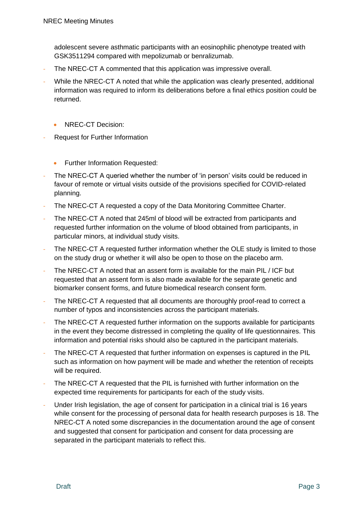adolescent severe asthmatic participants with an eosinophilic phenotype treated with GSK3511294 compared with mepolizumab or benralizumab.

- The NREC-CT A commented that this application was impressive overall.
- While the NREC-CT A noted that while the application was clearly presented, additional information was required to inform its deliberations before a final ethics position could be returned.
	- NREC-CT Decision:
- Request for Further Information
	- Further Information Requested:
- The NREC-CT A queried whether the number of 'in person' visits could be reduced in favour of remote or virtual visits outside of the provisions specified for COVID-related planning.
- The NREC-CT A requested a copy of the Data Monitoring Committee Charter.
- The NREC-CT A noted that 245ml of blood will be extracted from participants and requested further information on the volume of blood obtained from participants, in particular minors, at individual study visits.
- The NREC-CT A requested further information whether the OLE study is limited to those on the study drug or whether it will also be open to those on the placebo arm.
- The NREC-CT A noted that an assent form is available for the main PIL / ICF but requested that an assent form is also made available for the separate genetic and biomarker consent forms, and future biomedical research consent form.
- The NREC-CT A requested that all documents are thoroughly proof-read to correct a number of typos and inconsistencies across the participant materials.
- The NREC-CT A requested further information on the supports available for participants in the event they become distressed in completing the quality of life questionnaires. This information and potential risks should also be captured in the participant materials.
- The NREC-CT A requested that further information on expenses is captured in the PIL such as information on how payment will be made and whether the retention of receipts will be required.
- The NREC-CT A requested that the PIL is furnished with further information on the expected time requirements for participants for each of the study visits.
- Under Irish legislation, the age of consent for participation in a clinical trial is 16 years while consent for the processing of personal data for health research purposes is 18. The NREC-CT A noted some discrepancies in the documentation around the age of consent and suggested that consent for participation and consent for data processing are separated in the participant materials to reflect this.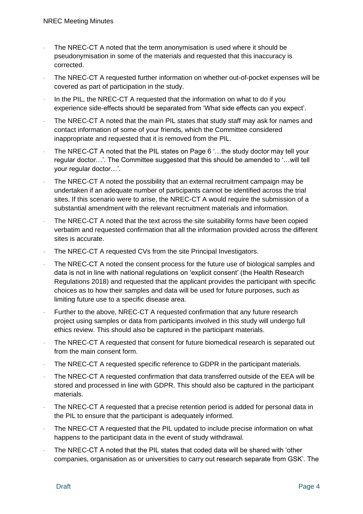- The NREC-CT A noted that the term anonymisation is used where it should be pseudonymisation in some of the materials and requested that this inaccuracy is corrected.
- The NREC-CT A requested further information on whether out-of-pocket expenses will be covered as part of participation in the study.
- In the PIL, the NREC-CT A requested that the information on what to do if you experience side-effects should be separated from 'What side effects can you expect'.
- The NREC-CT A noted that the main PIL states that study staff may ask for names and contact information of some of your friends, which the Committee considered inappropriate and requested that it is removed from the PIL.
- The NREC-CT A noted that the PIL states on Page 6 '...the study doctor may tell your regular doctor…'. The Committee suggested that this should be amended to '…will tell your regular doctor…'.
- The NREC-CT A noted the possibility that an external recruitment campaign may be undertaken if an adequate number of participants cannot be identified across the trial sites. If this scenario were to arise, the NREC-CT A would require the submission of a substantial amendment with the relevant recruitment materials and information.
- The NREC-CT A noted that the text across the site suitability forms have been copied verbatim and requested confirmation that all the information provided across the different sites is accurate.
- The NREC-CT A requested CVs from the site Principal Investigators.
- The NREC-CT A noted the consent process for the future use of biological samples and data is not in line with national regulations on 'explicit consent' (the Health Research Regulations 2018) and requested that the applicant provides the participant with specific choices as to how their samples and data will be used for future purposes, such as limiting future use to a specific disease area.
- Further to the above, NREC-CT A requested confirmation that any future research project using samples or data from participants involved in this study will undergo full ethics review. This should also be captured in the participant materials.
- The NREC-CT A requested that consent for future biomedical research is separated out from the main consent form.
- The NREC-CT A requested specific reference to GDPR in the participant materials.
- The NREC-CT A requested confirmation that data transferred outside of the EEA will be stored and processed in line with GDPR. This should also be captured in the participant materials.
- The NREC-CT A requested that a precise retention period is added for personal data in the PIL to ensure that the participant is adequately informed.
- The NREC-CT A requested that the PIL updated to include precise information on what happens to the participant data in the event of study withdrawal.
- The NREC-CT A noted that the PIL states that coded data will be shared with 'other companies, organisation as or universities to carry out research separate from GSK'. The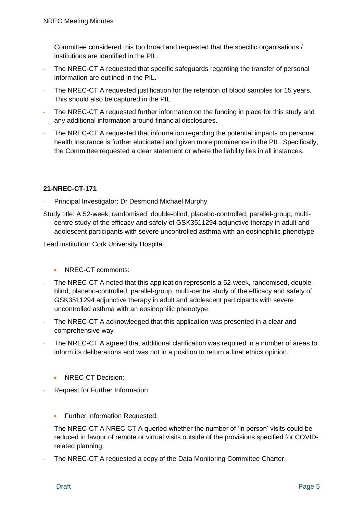Committee considered this too broad and requested that the specific organisations / institutions are identified in the PIL.

- The NREC-CT A requested that specific safeguards regarding the transfer of personal information are outlined in the PIL.
- The NREC-CT A requested justification for the retention of blood samples for 15 years. This should also be captured in the PIL.
- The NREC-CT A requested further information on the funding in place for this study and any additional information around financial disclosures.
- The NREC-CT A requested that information regarding the potential impacts on personal health insurance is further elucidated and given more prominence in the PIL. Specifically, the Committee requested a clear statement or where the liability lies in all instances.

### **21-NREC-CT-171**

- Principal Investigator: Dr Desmond Michael Murphy
- Study title: A 52-week, randomised, double-blind, placebo-controlled, parallel-group, multicentre study of the efficacy and safety of GSK3511294 adjunctive therapy in adult and adolescent participants with severe uncontrolled asthma with an eosinophilic phenotype

Lead institution: Cork University Hospital

- NREC-CT comments:
- The NREC-CT A noted that this application represents a 52-week, randomised, doubleblind, placebo-controlled, parallel-group, multi-centre study of the efficacy and safety of GSK3511294 adjunctive therapy in adult and adolescent participants with severe uncontrolled asthma with an eosinophilic phenotype.
- The NREC-CT A acknowledged that this application was presented in a clear and comprehensive way
- The NREC-CT A agreed that additional clarification was required in a number of areas to inform its deliberations and was not in a position to return a final ethics opinion.
	- NREC-CT Decision:
- Request for Further Information
	- Further Information Requested:
- The NREC-CT A NREC-CT A queried whether the number of 'in person' visits could be reduced in favour of remote or virtual visits outside of the provisions specified for COVIDrelated planning.
- The NREC-CT A requested a copy of the Data Monitoring Committee Charter.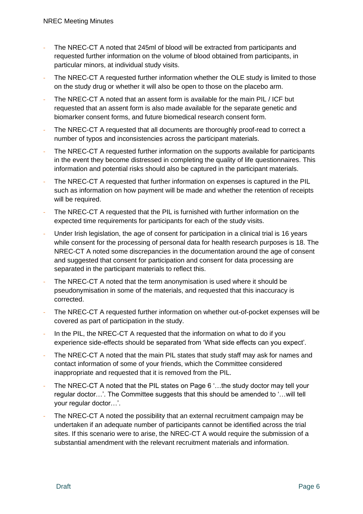- The NREC-CT A noted that 245ml of blood will be extracted from participants and requested further information on the volume of blood obtained from participants, in particular minors, at individual study visits.
- The NREC-CT A requested further information whether the OLE study is limited to those on the study drug or whether it will also be open to those on the placebo arm.
- The NREC-CT A noted that an assent form is available for the main PIL / ICF but requested that an assent form is also made available for the separate genetic and biomarker consent forms, and future biomedical research consent form.
- The NREC-CT A requested that all documents are thoroughly proof-read to correct a number of typos and inconsistencies across the participant materials.
- The NREC-CT A requested further information on the supports available for participants in the event they become distressed in completing the quality of life questionnaires. This information and potential risks should also be captured in the participant materials.
- The NREC-CT A requested that further information on expenses is captured in the PIL such as information on how payment will be made and whether the retention of receipts will be required.
- The NREC-CT A requested that the PIL is furnished with further information on the expected time requirements for participants for each of the study visits.
- Under Irish legislation, the age of consent for participation in a clinical trial is 16 years while consent for the processing of personal data for health research purposes is 18. The NREC-CT A noted some discrepancies in the documentation around the age of consent and suggested that consent for participation and consent for data processing are separated in the participant materials to reflect this.
- The NREC-CT A noted that the term anonymisation is used where it should be pseudonymisation in some of the materials, and requested that this inaccuracy is corrected.
- The NREC-CT A requested further information on whether out-of-pocket expenses will be covered as part of participation in the study.
- In the PIL, the NREC-CT A requested that the information on what to do if you experience side-effects should be separated from 'What side effects can you expect'.
- The NREC-CT A noted that the main PIL states that study staff may ask for names and contact information of some of your friends, which the Committee considered inappropriate and requested that it is removed from the PIL.
- The NREC-CT A noted that the PIL states on Page 6 '...the study doctor may tell your regular doctor…'. The Committee suggests that this should be amended to '…will tell your regular doctor…'.
- The NREC-CT A noted the possibility that an external recruitment campaign may be undertaken if an adequate number of participants cannot be identified across the trial sites. If this scenario were to arise, the NREC-CT A would require the submission of a substantial amendment with the relevant recruitment materials and information.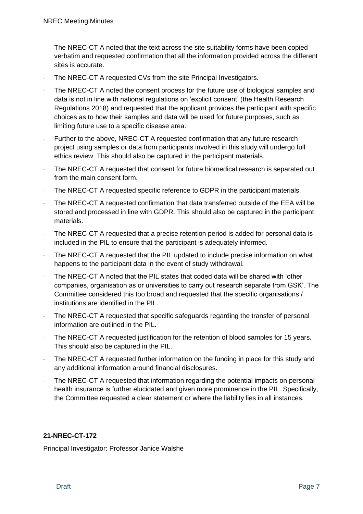- The NREC-CT A noted that the text across the site suitability forms have been copied verbatim and requested confirmation that all the information provided across the different sites is accurate.
- The NREC-CT A requested CVs from the site Principal Investigators.
- The NREC-CT A noted the consent process for the future use of biological samples and data is not in line with national regulations on 'explicit consent' (the Health Research Regulations 2018) and requested that the applicant provides the participant with specific choices as to how their samples and data will be used for future purposes, such as limiting future use to a specific disease area.
- Further to the above, NREC-CT A requested confirmation that any future research project using samples or data from participants involved in this study will undergo full ethics review. This should also be captured in the participant materials.
- The NREC-CT A requested that consent for future biomedical research is separated out from the main consent form.
- The NREC-CT A requested specific reference to GDPR in the participant materials.
- The NREC-CT A requested confirmation that data transferred outside of the EEA will be stored and processed in line with GDPR. This should also be captured in the participant materials.
- The NREC-CT A requested that a precise retention period is added for personal data is included in the PIL to ensure that the participant is adequately informed.
- The NREC-CT A requested that the PIL updated to include precise information on what happens to the participant data in the event of study withdrawal.
- The NREC-CT A noted that the PIL states that coded data will be shared with 'other companies, organisation as or universities to carry out research separate from GSK'. The Committee considered this too broad and requested that the specific organisations / institutions are identified in the PIL.
- The NREC-CT A requested that specific safeguards regarding the transfer of personal information are outlined in the PIL.
- The NREC-CT A requested justification for the retention of blood samples for 15 years. This should also be captured in the PIL.
- The NREC-CT A requested further information on the funding in place for this study and any additional information around financial disclosures.
- The NREC-CT A requested that information regarding the potential impacts on personal health insurance is further elucidated and given more prominence in the PIL. Specifically, the Committee requested a clear statement or where the liability lies in all instances.

## **21-NREC-CT-172**

Principal Investigator: Professor Janice Walshe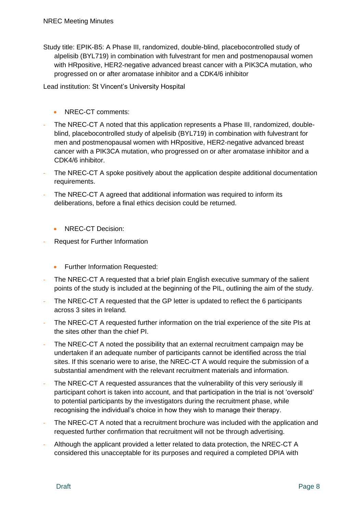Study title: EPIK-B5: A Phase III, randomized, double-blind, placebocontrolled study of alpelisib (BYL719) in combination with fulvestrant for men and postmenopausal women with HRpositive, HER2-negative advanced breast cancer with a PIK3CA mutation, who progressed on or after aromatase inhibitor and a CDK4/6 inhibitor

Lead institution: St Vincent's University Hospital

- NREC-CT comments:
- The NREC-CT A noted that this application represents a Phase III, randomized, doubleblind, placebocontrolled study of alpelisib (BYL719) in combination with fulvestrant for men and postmenopausal women with HRpositive, HER2-negative advanced breast cancer with a PIK3CA mutation, who progressed on or after aromatase inhibitor and a CDK4/6 inhibitor.
- The NREC-CT A spoke positively about the application despite additional documentation requirements.
- The NREC-CT A agreed that additional information was required to inform its deliberations, before a final ethics decision could be returned.
	- NREC-CT Decision:
- Request for Further Information
	- Further Information Requested:
- The NREC-CT A requested that a brief plain English executive summary of the salient points of the study is included at the beginning of the PIL, outlining the aim of the study.
- The NREC-CT A requested that the GP letter is updated to reflect the 6 participants across 3 sites in Ireland.
- The NREC-CT A requested further information on the trial experience of the site PIs at the sites other than the chief PI.
- The NREC-CT A noted the possibility that an external recruitment campaign may be undertaken if an adequate number of participants cannot be identified across the trial sites. If this scenario were to arise, the NREC-CT A would require the submission of a substantial amendment with the relevant recruitment materials and information.
- The NREC-CT A requested assurances that the vulnerability of this very seriously ill participant cohort is taken into account, and that participation in the trial is not 'oversold' to potential participants by the investigators during the recruitment phase, while recognising the individual's choice in how they wish to manage their therapy.
- The NREC-CT A noted that a recruitment brochure was included with the application and requested further confirmation that recruitment will not be through advertising.
- Although the applicant provided a letter related to data protection, the NREC-CT A considered this unacceptable for its purposes and required a completed DPIA with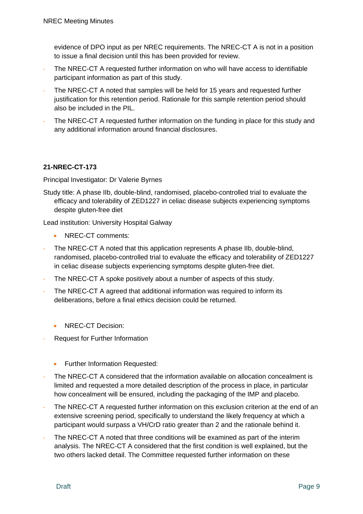evidence of DPO input as per NREC requirements. The NREC-CT A is not in a position to issue a final decision until this has been provided for review.

- The NREC-CT A requested further information on who will have access to identifiable participant information as part of this study.
- The NREC-CT A noted that samples will be held for 15 years and requested further justification for this retention period. Rationale for this sample retention period should also be included in the PIL.
- The NREC-CT A requested further information on the funding in place for this study and any additional information around financial disclosures.

#### **21-NREC-CT-173**

Principal Investigator: Dr Valerie Byrnes

Study title: A phase IIb, double-blind, randomised, placebo-controlled trial to evaluate the efficacy and tolerability of ZED1227 in celiac disease subjects experiencing symptoms despite gluten-free diet

Lead institution: University Hospital Galway

- NREC-CT comments:
- The NREC-CT A noted that this application represents A phase IIb, double-blind, randomised, placebo-controlled trial to evaluate the efficacy and tolerability of ZED1227 in celiac disease subjects experiencing symptoms despite gluten-free diet.
- The NREC-CT A spoke positively about a number of aspects of this study.
- The NREC-CT A agreed that additional information was required to inform its deliberations, before a final ethics decision could be returned.
	- NREC-CT Decision:
- Request for Further Information
	- Further Information Requested:
- The NREC-CT A considered that the information available on allocation concealment is limited and requested a more detailed description of the process in place, in particular how concealment will be ensured, including the packaging of the IMP and placebo.
- The NREC-CT A requested further information on this exclusion criterion at the end of an extensive screening period, specifically to understand the likely frequency at which a participant would surpass a VH/CrD ratio greater than 2 and the rationale behind it.
- The NREC-CT A noted that three conditions will be examined as part of the interim analysis. The NREC-CT A considered that the first condition is well explained, but the two others lacked detail. The Committee requested further information on these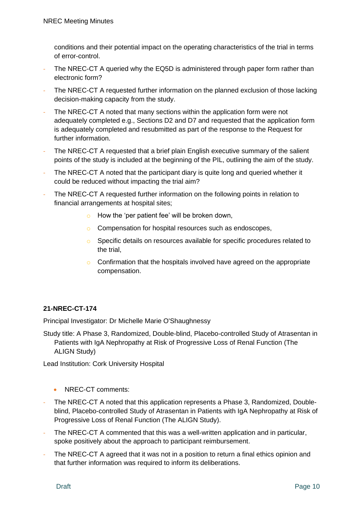conditions and their potential impact on the operating characteristics of the trial in terms of error-control.

- The NREC-CT A queried why the EQ5D is administered through paper form rather than electronic form?
- The NREC-CT A requested further information on the planned exclusion of those lacking decision-making capacity from the study.
- The NREC-CT A noted that many sections within the application form were not adequately completed e.g., Sections D2 and D7 and requested that the application form is adequately completed and resubmitted as part of the response to the Request for further information.
- The NREC-CT A requested that a brief plain English executive summary of the salient points of the study is included at the beginning of the PIL, outlining the aim of the study.
- The NREC-CT A noted that the participant diary is quite long and queried whether it could be reduced without impacting the trial aim?
- The NREC-CT A requested further information on the following points in relation to financial arrangements at hospital sites;
	- o How the 'per patient fee' will be broken down,
	- o Compensation for hospital resources such as endoscopes,
	- o Specific details on resources available for specific procedures related to the trial,
	- o Confirmation that the hospitals involved have agreed on the appropriate compensation.

#### **21-NREC-CT-174**

Principal Investigator: Dr Michelle Marie O'Shaughnessy

Study title: A Phase 3, Randomized, Double-blind, Placebo-controlled Study of Atrasentan in Patients with IgA Nephropathy at Risk of Progressive Loss of Renal Function (The ALIGN Study)

Lead Institution: Cork University Hospital

- NREC-CT comments:
- The NREC-CT A noted that this application represents a Phase 3, Randomized, Doubleblind, Placebo-controlled Study of Atrasentan in Patients with IgA Nephropathy at Risk of Progressive Loss of Renal Function (The ALIGN Study).
- The NREC-CT A commented that this was a well-written application and in particular. spoke positively about the approach to participant reimbursement.
- The NREC-CT A agreed that it was not in a position to return a final ethics opinion and that further information was required to inform its deliberations.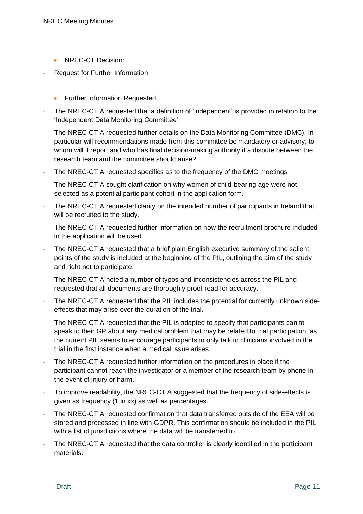- NREC-CT Decision:
- Request for Further Information
	- Further Information Requested:
- The NREC-CT A requested that a definition of 'independent' is provided in relation to the 'Independent Data Monitoring Committee'.
- The NREC-CT A requested further details on the Data Monitoring Committee (DMC). In particular will recommendations made from this committee be mandatory or advisory; to whom will it report and who has final decision-making authority if a dispute between the research team and the committee should arise?
- The NREC-CT A requested specifics as to the frequency of the DMC meetings
- The NREC-CT A sought clarification on why women of child-bearing age were not selected as a potential participant cohort in the application form.
- The NREC-CT A requested clarity on the intended number of participants in Ireland that will be recruited to the study.
- The NREC-CT A requested further information on how the recruitment brochure included in the application will be used.
- The NREC-CT A requested that a brief plain English executive summary of the salient points of the study is included at the beginning of the PIL, outlining the aim of the study and right not to participate.
- The NREC-CT A noted a number of typos and inconsistencies across the PIL and requested that all documents are thoroughly proof-read for accuracy.
- The NREC-CT A requested that the PIL includes the potential for currently unknown sideeffects that may arise over the duration of the trial.
- The NREC-CT A requested that the PIL is adapted to specify that participants can to speak to their GP about any medical problem that may be related to trial participation, as the current PIL seems to encourage participants to only talk to clinicians involved in the trial in the first instance when a medical issue arises.
- The NREC-CT A requested further information on the procedures in place if the participant cannot reach the investigator or a member of the research team by phone in the event of injury or harm.
- To improve readability, the NREC-CT A suggested that the frequency of side-effects is given as frequency (1 in xx) as well as percentages.
- The NREC-CT A requested confirmation that data transferred outside of the EEA will be stored and processed in line with GDPR. This confirmation should be included in the PIL with a list of jurisdictions where the data will be transferred to.
- The NREC-CT A requested that the data controller is clearly identified in the participant materials.